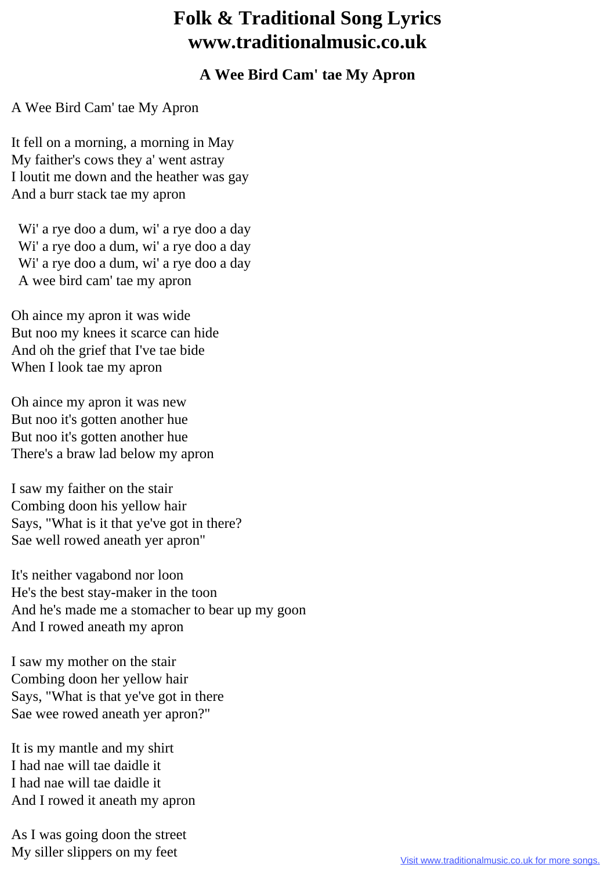## **Folk & Traditional Song Lyrics www.traditionalmusic.co.uk**

## **A Wee Bird Cam' tae My Apron**

A Wee Bird Cam' tae My Apron

It fell on a morning, a morning in May My faither's cows they a' went astray I loutit me down and the heather was gay And a burr stack tae my apron

 Wi' a rye doo a dum, wi' a rye doo a day Wi' a rye doo a dum, wi' a rye doo a day Wi' a rye doo a dum, wi' a rye doo a day A wee bird cam' tae my apron

Oh aince my apron it was wide But noo my knees it scarce can hide And oh the grief that I've tae bide When I look tae my apron

Oh aince my apron it was new But noo it's gotten another hue But noo it's gotten another hue There's a braw lad below my apron

I saw my faither on the stair Combing doon his yellow hair Says, "What is it that ye've got in there? Sae well rowed aneath yer apron"

It's neither vagabond nor loon He's the best stay-maker in the toon And he's made me a stomacher to bear up my goon And I rowed aneath my apron

I saw my mother on the stair Combing doon her yellow hair Says, "What is that ye've got in there Sae wee rowed aneath yer apron?"

It is my mantle and my shirt I had nae will tae daidle it I had nae will tae daidle it And I rowed it aneath my apron

As I was going doon the street My siller slippers on my feet